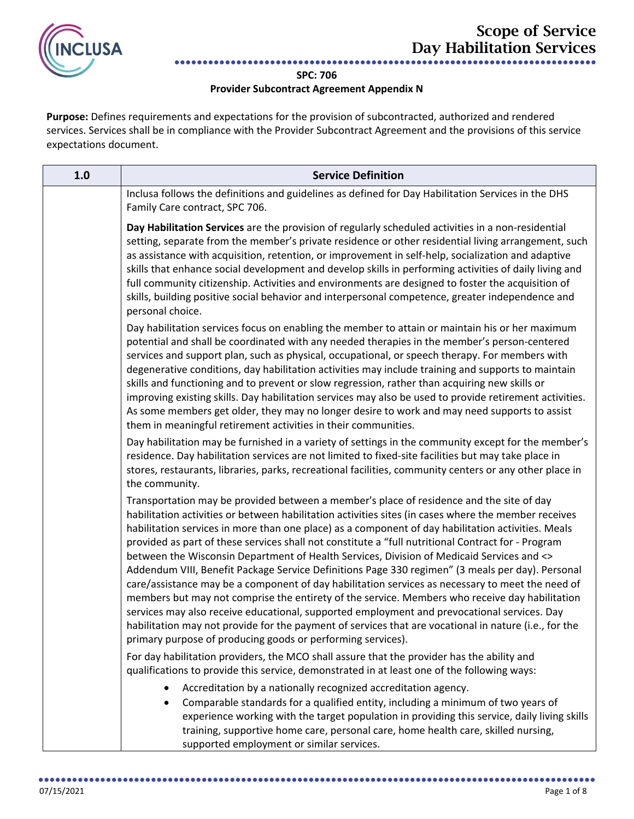

## **SPC: 706**

## **Provider Subcontract Agreement Appendix N**

**Purpose:** Defines requirements and expectations for the provision of subcontracted, authorized and rendered services. Services shall be in compliance with the Provider Subcontract Agreement and the provisions of this service expectations document.

| 1.0 | <b>Service Definition</b>                                                                                                                                                                                                                                                                                                                                                                                                                                                                                                                                                                                                                                                                                                                                                                                                                                                                                                                                                                                                                                                                  |
|-----|--------------------------------------------------------------------------------------------------------------------------------------------------------------------------------------------------------------------------------------------------------------------------------------------------------------------------------------------------------------------------------------------------------------------------------------------------------------------------------------------------------------------------------------------------------------------------------------------------------------------------------------------------------------------------------------------------------------------------------------------------------------------------------------------------------------------------------------------------------------------------------------------------------------------------------------------------------------------------------------------------------------------------------------------------------------------------------------------|
|     | Inclusa follows the definitions and guidelines as defined for Day Habilitation Services in the DHS<br>Family Care contract, SPC 706.                                                                                                                                                                                                                                                                                                                                                                                                                                                                                                                                                                                                                                                                                                                                                                                                                                                                                                                                                       |
|     | Day Habilitation Services are the provision of regularly scheduled activities in a non-residential<br>setting, separate from the member's private residence or other residential living arrangement, such<br>as assistance with acquisition, retention, or improvement in self-help, socialization and adaptive<br>skills that enhance social development and develop skills in performing activities of daily living and<br>full community citizenship. Activities and environments are designed to foster the acquisition of<br>skills, building positive social behavior and interpersonal competence, greater independence and<br>personal choice.                                                                                                                                                                                                                                                                                                                                                                                                                                     |
|     | Day habilitation services focus on enabling the member to attain or maintain his or her maximum<br>potential and shall be coordinated with any needed therapies in the member's person-centered<br>services and support plan, such as physical, occupational, or speech therapy. For members with<br>degenerative conditions, day habilitation activities may include training and supports to maintain<br>skills and functioning and to prevent or slow regression, rather than acquiring new skills or<br>improving existing skills. Day habilitation services may also be used to provide retirement activities.<br>As some members get older, they may no longer desire to work and may need supports to assist<br>them in meaningful retirement activities in their communities.                                                                                                                                                                                                                                                                                                      |
|     | Day habilitation may be furnished in a variety of settings in the community except for the member's<br>residence. Day habilitation services are not limited to fixed-site facilities but may take place in<br>stores, restaurants, libraries, parks, recreational facilities, community centers or any other place in<br>the community.                                                                                                                                                                                                                                                                                                                                                                                                                                                                                                                                                                                                                                                                                                                                                    |
|     | Transportation may be provided between a member's place of residence and the site of day<br>habilitation activities or between habilitation activities sites (in cases where the member receives<br>habilitation services in more than one place) as a component of day habilitation activities. Meals<br>provided as part of these services shall not constitute a "full nutritional Contract for - Program<br>between the Wisconsin Department of Health Services, Division of Medicaid Services and <><br>Addendum VIII, Benefit Package Service Definitions Page 330 regimen" (3 meals per day). Personal<br>care/assistance may be a component of day habilitation services as necessary to meet the need of<br>members but may not comprise the entirety of the service. Members who receive day habilitation<br>services may also receive educational, supported employment and prevocational services. Day<br>habilitation may not provide for the payment of services that are vocational in nature (i.e., for the<br>primary purpose of producing goods or performing services). |
|     | For day habilitation providers, the MCO shall assure that the provider has the ability and<br>qualifications to provide this service, demonstrated in at least one of the following ways:                                                                                                                                                                                                                                                                                                                                                                                                                                                                                                                                                                                                                                                                                                                                                                                                                                                                                                  |
|     | Accreditation by a nationally recognized accreditation agency.<br>$\bullet$<br>Comparable standards for a qualified entity, including a minimum of two years of<br>$\bullet$<br>experience working with the target population in providing this service, daily living skills<br>training, supportive home care, personal care, home health care, skilled nursing,<br>supported employment or similar services.                                                                                                                                                                                                                                                                                                                                                                                                                                                                                                                                                                                                                                                                             |

●●●●●●●●●●●●●●●●●●●●●●●●●●●●●●●●●●●●●●●●●●●●●●●●●●●●●●●●●●●●●●●●●●●●●●●●●●●●●●●●●●●●●●●●●●●●●●●●●●●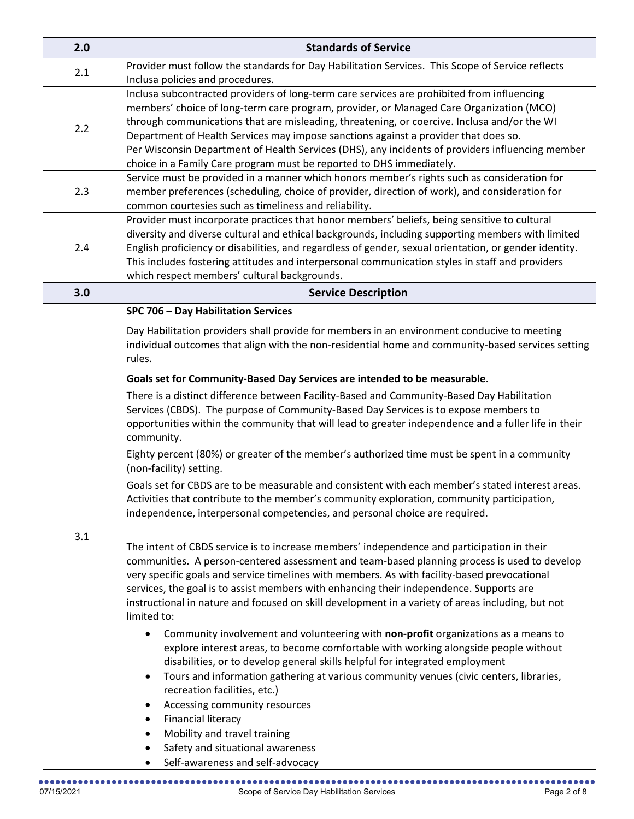| 2.0 | <b>Standards of Service</b>                                                                                                                                                                                                                                                                                                                                                                                                                                                                                                                             |
|-----|---------------------------------------------------------------------------------------------------------------------------------------------------------------------------------------------------------------------------------------------------------------------------------------------------------------------------------------------------------------------------------------------------------------------------------------------------------------------------------------------------------------------------------------------------------|
| 2.1 | Provider must follow the standards for Day Habilitation Services. This Scope of Service reflects<br>Inclusa policies and procedures.                                                                                                                                                                                                                                                                                                                                                                                                                    |
| 2.2 | Inclusa subcontracted providers of long-term care services are prohibited from influencing<br>members' choice of long-term care program, provider, or Managed Care Organization (MCO)<br>through communications that are misleading, threatening, or coercive. Inclusa and/or the WI<br>Department of Health Services may impose sanctions against a provider that does so.<br>Per Wisconsin Department of Health Services (DHS), any incidents of providers influencing member<br>choice in a Family Care program must be reported to DHS immediately. |
| 2.3 | Service must be provided in a manner which honors member's rights such as consideration for<br>member preferences (scheduling, choice of provider, direction of work), and consideration for<br>common courtesies such as timeliness and reliability.                                                                                                                                                                                                                                                                                                   |
| 2.4 | Provider must incorporate practices that honor members' beliefs, being sensitive to cultural<br>diversity and diverse cultural and ethical backgrounds, including supporting members with limited<br>English proficiency or disabilities, and regardless of gender, sexual orientation, or gender identity.<br>This includes fostering attitudes and interpersonal communication styles in staff and providers<br>which respect members' cultural backgrounds.                                                                                          |
| 3.0 | <b>Service Description</b>                                                                                                                                                                                                                                                                                                                                                                                                                                                                                                                              |
|     | SPC 706 - Day Habilitation Services<br>Day Habilitation providers shall provide for members in an environment conducive to meeting<br>individual outcomes that align with the non-residential home and community-based services setting<br>rules.                                                                                                                                                                                                                                                                                                       |
|     | Goals set for Community-Based Day Services are intended to be measurable.                                                                                                                                                                                                                                                                                                                                                                                                                                                                               |
| 3.1 | There is a distinct difference between Facility-Based and Community-Based Day Habilitation<br>Services (CBDS). The purpose of Community-Based Day Services is to expose members to<br>opportunities within the community that will lead to greater independence and a fuller life in their<br>community.                                                                                                                                                                                                                                                |
|     | Eighty percent (80%) or greater of the member's authorized time must be spent in a community<br>(non-facility) setting.                                                                                                                                                                                                                                                                                                                                                                                                                                 |
|     | Goals set for CBDS are to be measurable and consistent with each member's stated interest areas.<br>Activities that contribute to the member's community exploration, community participation,<br>independence, interpersonal competencies, and personal choice are required.                                                                                                                                                                                                                                                                           |
|     | The intent of CBDS service is to increase members' independence and participation in their<br>communities. A person-centered assessment and team-based planning process is used to develop<br>very specific goals and service timelines with members. As with facility-based prevocational<br>services, the goal is to assist members with enhancing their independence. Supports are<br>instructional in nature and focused on skill development in a variety of areas including, but not<br>limited to:                                               |
|     | Community involvement and volunteering with non-profit organizations as a means to<br>explore interest areas, to become comfortable with working alongside people without<br>disabilities, or to develop general skills helpful for integrated employment<br>Tours and information gathering at various community venues (civic centers, libraries,<br>recreation facilities, etc.)<br>Accessing community resources<br><b>Financial literacy</b><br>$\bullet$<br>Mobility and travel training<br>$\bullet$                                             |
|     | Safety and situational awareness                                                                                                                                                                                                                                                                                                                                                                                                                                                                                                                        |
|     | Self-awareness and self-advocacy                                                                                                                                                                                                                                                                                                                                                                                                                                                                                                                        |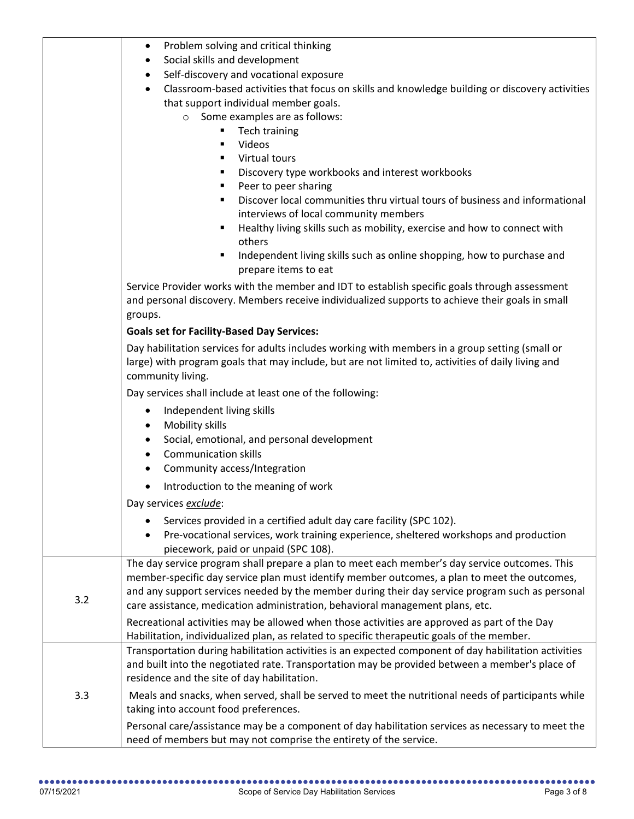|     | Problem solving and critical thinking<br>$\bullet$                                                                                                                                                                         |
|-----|----------------------------------------------------------------------------------------------------------------------------------------------------------------------------------------------------------------------------|
|     | Social skills and development<br>$\bullet$                                                                                                                                                                                 |
|     | Self-discovery and vocational exposure<br>٠                                                                                                                                                                                |
|     | Classroom-based activities that focus on skills and knowledge building or discovery activities<br>$\bullet$                                                                                                                |
|     | that support individual member goals.                                                                                                                                                                                      |
|     | Some examples are as follows:<br>$\circ$                                                                                                                                                                                   |
|     | Tech training                                                                                                                                                                                                              |
|     | Videos<br>٠                                                                                                                                                                                                                |
|     | Virtual tours                                                                                                                                                                                                              |
|     | Discovery type workbooks and interest workbooks<br>п.                                                                                                                                                                      |
|     | Peer to peer sharing                                                                                                                                                                                                       |
|     | Discover local communities thru virtual tours of business and informational                                                                                                                                                |
|     | interviews of local community members                                                                                                                                                                                      |
|     | Healthy living skills such as mobility, exercise and how to connect with<br>others                                                                                                                                         |
|     | Independent living skills such as online shopping, how to purchase and<br>٠<br>prepare items to eat                                                                                                                        |
|     | Service Provider works with the member and IDT to establish specific goals through assessment<br>and personal discovery. Members receive individualized supports to achieve their goals in small<br>groups.                |
|     | <b>Goals set for Facility-Based Day Services:</b>                                                                                                                                                                          |
|     | Day habilitation services for adults includes working with members in a group setting (small or<br>large) with program goals that may include, but are not limited to, activities of daily living and<br>community living. |
|     | Day services shall include at least one of the following:                                                                                                                                                                  |
|     | Independent living skills<br>$\bullet$                                                                                                                                                                                     |
|     | Mobility skills<br>٠                                                                                                                                                                                                       |
|     | Social, emotional, and personal development<br>$\bullet$                                                                                                                                                                   |
|     | <b>Communication skills</b><br>$\bullet$                                                                                                                                                                                   |
|     | Community access/Integration<br>$\bullet$                                                                                                                                                                                  |
|     |                                                                                                                                                                                                                            |
|     | Introduction to the meaning of work<br>$\bullet$                                                                                                                                                                           |
|     | Day services exclude:                                                                                                                                                                                                      |
|     | Services provided in a certified adult day care facility (SPC 102).                                                                                                                                                        |
|     | Pre-vocational services, work training experience, sheltered workshops and production<br>$\bullet$<br>piecework, paid or unpaid (SPC 108).                                                                                 |
|     | The day service program shall prepare a plan to meet each member's day service outcomes. This                                                                                                                              |
|     | member-specific day service plan must identify member outcomes, a plan to meet the outcomes,                                                                                                                               |
| 3.2 | and any support services needed by the member during their day service program such as personal                                                                                                                            |
|     | care assistance, medication administration, behavioral management plans, etc.                                                                                                                                              |
|     | Recreational activities may be allowed when those activities are approved as part of the Day                                                                                                                               |
|     | Habilitation, individualized plan, as related to specific therapeutic goals of the member.                                                                                                                                 |
|     | Transportation during habilitation activities is an expected component of day habilitation activities                                                                                                                      |
|     | and built into the negotiated rate. Transportation may be provided between a member's place of                                                                                                                             |
|     | residence and the site of day habilitation.                                                                                                                                                                                |
| 3.3 | Meals and snacks, when served, shall be served to meet the nutritional needs of participants while                                                                                                                         |
|     | taking into account food preferences.                                                                                                                                                                                      |
|     | Personal care/assistance may be a component of day habilitation services as necessary to meet the                                                                                                                          |
|     | need of members but may not comprise the entirety of the service.                                                                                                                                                          |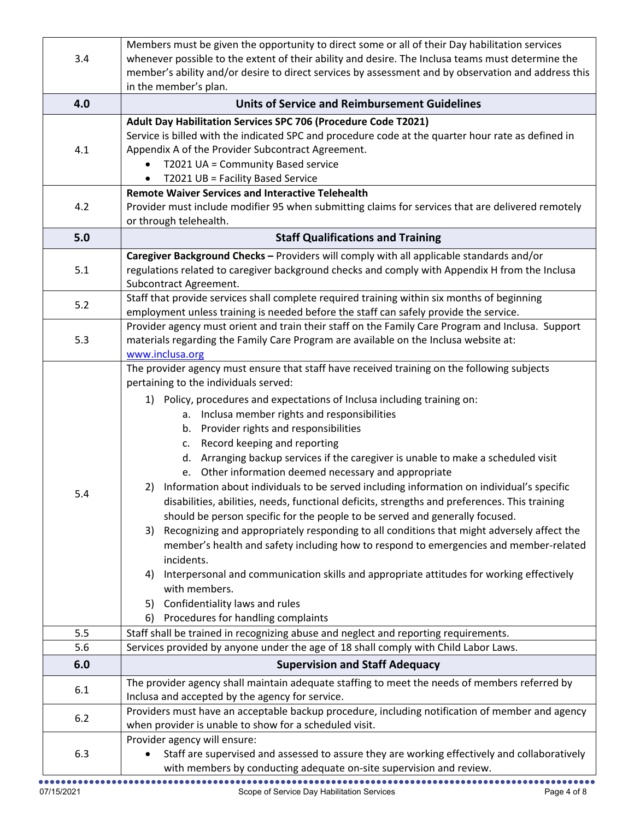| 3.4        | Members must be given the opportunity to direct some or all of their Day habilitation services<br>whenever possible to the extent of their ability and desire. The Inclusa teams must determine the<br>member's ability and/or desire to direct services by assessment and by observation and address this |
|------------|------------------------------------------------------------------------------------------------------------------------------------------------------------------------------------------------------------------------------------------------------------------------------------------------------------|
| 4.0        | in the member's plan.<br><b>Units of Service and Reimbursement Guidelines</b>                                                                                                                                                                                                                              |
|            | Adult Day Habilitation Services SPC 706 (Procedure Code T2021)                                                                                                                                                                                                                                             |
| 4.1        | Service is billed with the indicated SPC and procedure code at the quarter hour rate as defined in<br>Appendix A of the Provider Subcontract Agreement.<br>T2021 UA = Community Based service<br>T2021 UB = Facility Based Service<br>$\bullet$                                                            |
|            | <b>Remote Waiver Services and Interactive Telehealth</b>                                                                                                                                                                                                                                                   |
| 4.2        | Provider must include modifier 95 when submitting claims for services that are delivered remotely<br>or through telehealth.                                                                                                                                                                                |
| 5.0        | <b>Staff Qualifications and Training</b>                                                                                                                                                                                                                                                                   |
|            | Caregiver Background Checks - Providers will comply with all applicable standards and/or                                                                                                                                                                                                                   |
| 5.1        | regulations related to caregiver background checks and comply with Appendix H from the Inclusa<br>Subcontract Agreement.                                                                                                                                                                                   |
| 5.2        | Staff that provide services shall complete required training within six months of beginning                                                                                                                                                                                                                |
|            | employment unless training is needed before the staff can safely provide the service.                                                                                                                                                                                                                      |
|            | Provider agency must orient and train their staff on the Family Care Program and Inclusa. Support                                                                                                                                                                                                          |
| 5.3        | materials regarding the Family Care Program are available on the Inclusa website at:<br>www.inclusa.org                                                                                                                                                                                                    |
|            | The provider agency must ensure that staff have received training on the following subjects                                                                                                                                                                                                                |
|            | pertaining to the individuals served:                                                                                                                                                                                                                                                                      |
|            | 1) Policy, procedures and expectations of Inclusa including training on:                                                                                                                                                                                                                                   |
|            | a. Inclusa member rights and responsibilities                                                                                                                                                                                                                                                              |
|            | b. Provider rights and responsibilities                                                                                                                                                                                                                                                                    |
|            | c. Record keeping and reporting                                                                                                                                                                                                                                                                            |
|            | d. Arranging backup services if the caregiver is unable to make a scheduled visit                                                                                                                                                                                                                          |
|            | e. Other information deemed necessary and appropriate                                                                                                                                                                                                                                                      |
| 5.4        | Information about individuals to be served including information on individual's specific<br>2)                                                                                                                                                                                                            |
|            | disabilities, abilities, needs, functional deficits, strengths and preferences. This training                                                                                                                                                                                                              |
|            | should be person specific for the people to be served and generally focused.                                                                                                                                                                                                                               |
|            | Recognizing and appropriately responding to all conditions that might adversely affect the<br>3)<br>member's health and safety including how to respond to emergencies and member-related                                                                                                                  |
|            | incidents.                                                                                                                                                                                                                                                                                                 |
|            | Interpersonal and communication skills and appropriate attitudes for working effectively<br>4)                                                                                                                                                                                                             |
|            | with members.                                                                                                                                                                                                                                                                                              |
|            | Confidentiality laws and rules<br>5)                                                                                                                                                                                                                                                                       |
|            | Procedures for handling complaints<br>6)                                                                                                                                                                                                                                                                   |
| 5.5        | Staff shall be trained in recognizing abuse and neglect and reporting requirements.                                                                                                                                                                                                                        |
| 5.6        | Services provided by anyone under the age of 18 shall comply with Child Labor Laws.                                                                                                                                                                                                                        |
| 6.0        | <b>Supervision and Staff Adequacy</b>                                                                                                                                                                                                                                                                      |
| 6.1<br>6.2 | The provider agency shall maintain adequate staffing to meet the needs of members referred by                                                                                                                                                                                                              |
|            | Inclusa and accepted by the agency for service.                                                                                                                                                                                                                                                            |
|            | Providers must have an acceptable backup procedure, including notification of member and agency<br>when provider is unable to show for a scheduled visit.                                                                                                                                                  |
|            | Provider agency will ensure:                                                                                                                                                                                                                                                                               |
| 6.3        | Staff are supervised and assessed to assure they are working effectively and collaboratively<br>$\bullet$                                                                                                                                                                                                  |
|            | with members by conducting adequate on-site supervision and review.                                                                                                                                                                                                                                        |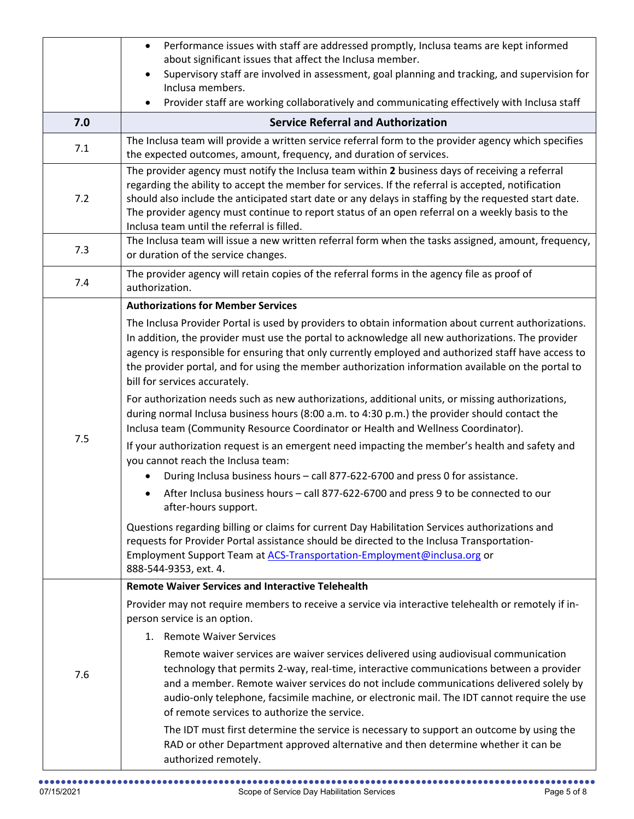|     | Performance issues with staff are addressed promptly, Inclusa teams are kept informed<br>$\bullet$                                                                                                                                                                                                                                                                                                                                                              |
|-----|-----------------------------------------------------------------------------------------------------------------------------------------------------------------------------------------------------------------------------------------------------------------------------------------------------------------------------------------------------------------------------------------------------------------------------------------------------------------|
|     | about significant issues that affect the Inclusa member.<br>Supervisory staff are involved in assessment, goal planning and tracking, and supervision for                                                                                                                                                                                                                                                                                                       |
|     | Inclusa members.                                                                                                                                                                                                                                                                                                                                                                                                                                                |
|     | Provider staff are working collaboratively and communicating effectively with Inclusa staff                                                                                                                                                                                                                                                                                                                                                                     |
| 7.0 | <b>Service Referral and Authorization</b>                                                                                                                                                                                                                                                                                                                                                                                                                       |
| 7.1 | The Inclusa team will provide a written service referral form to the provider agency which specifies<br>the expected outcomes, amount, frequency, and duration of services.                                                                                                                                                                                                                                                                                     |
| 7.2 | The provider agency must notify the Inclusa team within 2 business days of receiving a referral<br>regarding the ability to accept the member for services. If the referral is accepted, notification<br>should also include the anticipated start date or any delays in staffing by the requested start date.<br>The provider agency must continue to report status of an open referral on a weekly basis to the<br>Inclusa team until the referral is filled. |
| 7.3 | The Inclusa team will issue a new written referral form when the tasks assigned, amount, frequency,<br>or duration of the service changes.                                                                                                                                                                                                                                                                                                                      |
| 7.4 | The provider agency will retain copies of the referral forms in the agency file as proof of<br>authorization.                                                                                                                                                                                                                                                                                                                                                   |
|     | <b>Authorizations for Member Services</b>                                                                                                                                                                                                                                                                                                                                                                                                                       |
|     | The Inclusa Provider Portal is used by providers to obtain information about current authorizations.<br>In addition, the provider must use the portal to acknowledge all new authorizations. The provider<br>agency is responsible for ensuring that only currently employed and authorized staff have access to<br>the provider portal, and for using the member authorization information available on the portal to<br>bill for services accurately.         |
|     | For authorization needs such as new authorizations, additional units, or missing authorizations,<br>during normal Inclusa business hours (8:00 a.m. to 4:30 p.m.) the provider should contact the<br>Inclusa team (Community Resource Coordinator or Health and Wellness Coordinator).                                                                                                                                                                          |
| 7.5 | If your authorization request is an emergent need impacting the member's health and safety and<br>you cannot reach the Inclusa team:                                                                                                                                                                                                                                                                                                                            |
|     | During Inclusa business hours - call 877-622-6700 and press 0 for assistance.                                                                                                                                                                                                                                                                                                                                                                                   |
|     | After Inclusa business hours - call 877-622-6700 and press 9 to be connected to our<br>$\bullet$<br>after-hours support.                                                                                                                                                                                                                                                                                                                                        |
|     | Questions regarding billing or claims for current Day Habilitation Services authorizations and<br>requests for Provider Portal assistance should be directed to the Inclusa Transportation-<br>Employment Support Team at ACS-Transportation-Employment@inclusa.org or<br>888-544-9353, ext. 4.                                                                                                                                                                 |
|     | <b>Remote Waiver Services and Interactive Telehealth</b>                                                                                                                                                                                                                                                                                                                                                                                                        |
|     | Provider may not require members to receive a service via interactive telehealth or remotely if in-<br>person service is an option.                                                                                                                                                                                                                                                                                                                             |
|     | 1. Remote Waiver Services                                                                                                                                                                                                                                                                                                                                                                                                                                       |
| 7.6 | Remote waiver services are waiver services delivered using audiovisual communication<br>technology that permits 2-way, real-time, interactive communications between a provider<br>and a member. Remote waiver services do not include communications delivered solely by<br>audio-only telephone, facsimile machine, or electronic mail. The IDT cannot require the use<br>of remote services to authorize the service.                                        |
|     | The IDT must first determine the service is necessary to support an outcome by using the<br>RAD or other Department approved alternative and then determine whether it can be<br>authorized remotely.                                                                                                                                                                                                                                                           |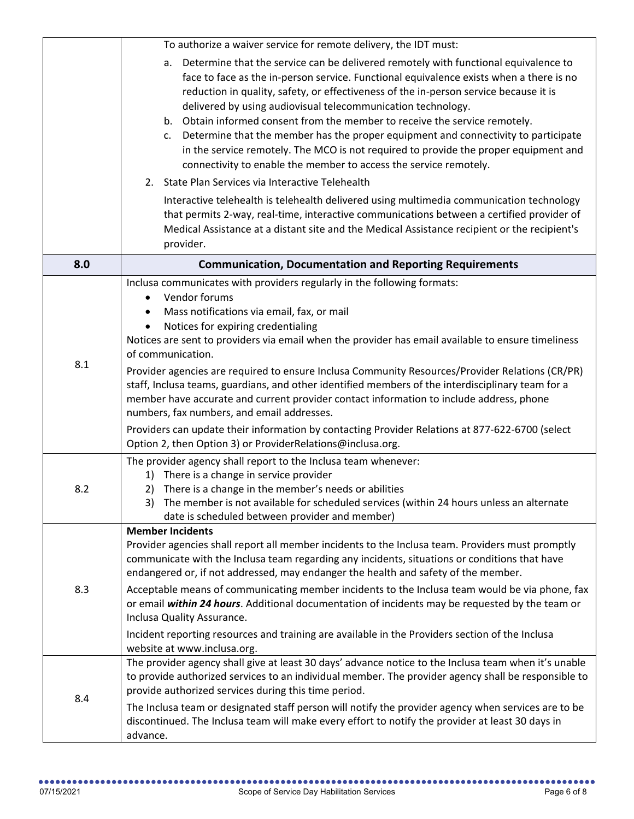|     | To authorize a waiver service for remote delivery, the IDT must:                                                                                                                                                                                                                                                                                                                                                                                                                                                                                                                                                                                                                                                                                                                                                          |
|-----|---------------------------------------------------------------------------------------------------------------------------------------------------------------------------------------------------------------------------------------------------------------------------------------------------------------------------------------------------------------------------------------------------------------------------------------------------------------------------------------------------------------------------------------------------------------------------------------------------------------------------------------------------------------------------------------------------------------------------------------------------------------------------------------------------------------------------|
|     | Determine that the service can be delivered remotely with functional equivalence to<br>a.<br>face to face as the in-person service. Functional equivalence exists when a there is no<br>reduction in quality, safety, or effectiveness of the in-person service because it is<br>delivered by using audiovisual telecommunication technology.<br>Obtain informed consent from the member to receive the service remotely.<br>b.<br>Determine that the member has the proper equipment and connectivity to participate<br>c.<br>in the service remotely. The MCO is not required to provide the proper equipment and<br>connectivity to enable the member to access the service remotely.                                                                                                                                  |
|     | 2. State Plan Services via Interactive Telehealth                                                                                                                                                                                                                                                                                                                                                                                                                                                                                                                                                                                                                                                                                                                                                                         |
|     | Interactive telehealth is telehealth delivered using multimedia communication technology<br>that permits 2-way, real-time, interactive communications between a certified provider of<br>Medical Assistance at a distant site and the Medical Assistance recipient or the recipient's<br>provider.                                                                                                                                                                                                                                                                                                                                                                                                                                                                                                                        |
| 8.0 | <b>Communication, Documentation and Reporting Requirements</b>                                                                                                                                                                                                                                                                                                                                                                                                                                                                                                                                                                                                                                                                                                                                                            |
| 8.1 | Inclusa communicates with providers regularly in the following formats:<br>Vendor forums<br>Mass notifications via email, fax, or mail<br>Notices for expiring credentialing<br>Notices are sent to providers via email when the provider has email available to ensure timeliness<br>of communication.<br>Provider agencies are required to ensure Inclusa Community Resources/Provider Relations (CR/PR)<br>staff, Inclusa teams, guardians, and other identified members of the interdisciplinary team for a<br>member have accurate and current provider contact information to include address, phone<br>numbers, fax numbers, and email addresses.<br>Providers can update their information by contacting Provider Relations at 877-622-6700 (select<br>Option 2, then Option 3) or ProviderRelations@inclusa.org. |
| 8.2 | The provider agency shall report to the Inclusa team whenever:<br>1) There is a change in service provider<br>There is a change in the member's needs or abilities<br>2)<br>3) The member is not available for scheduled services (within 24 hours unless an alternate<br>date is scheduled between provider and member)                                                                                                                                                                                                                                                                                                                                                                                                                                                                                                  |
| 8.3 | <b>Member Incidents</b><br>Provider agencies shall report all member incidents to the Inclusa team. Providers must promptly<br>communicate with the Inclusa team regarding any incidents, situations or conditions that have<br>endangered or, if not addressed, may endanger the health and safety of the member.<br>Acceptable means of communicating member incidents to the Inclusa team would be via phone, fax<br>or email within 24 hours. Additional documentation of incidents may be requested by the team or<br>Inclusa Quality Assurance.<br>Incident reporting resources and training are available in the Providers section of the Inclusa<br>website at www.inclusa.org.                                                                                                                                   |
| 8.4 | The provider agency shall give at least 30 days' advance notice to the Inclusa team when it's unable<br>to provide authorized services to an individual member. The provider agency shall be responsible to<br>provide authorized services during this time period.<br>The Inclusa team or designated staff person will notify the provider agency when services are to be<br>discontinued. The Inclusa team will make every effort to notify the provider at least 30 days in<br>advance.                                                                                                                                                                                                                                                                                                                                |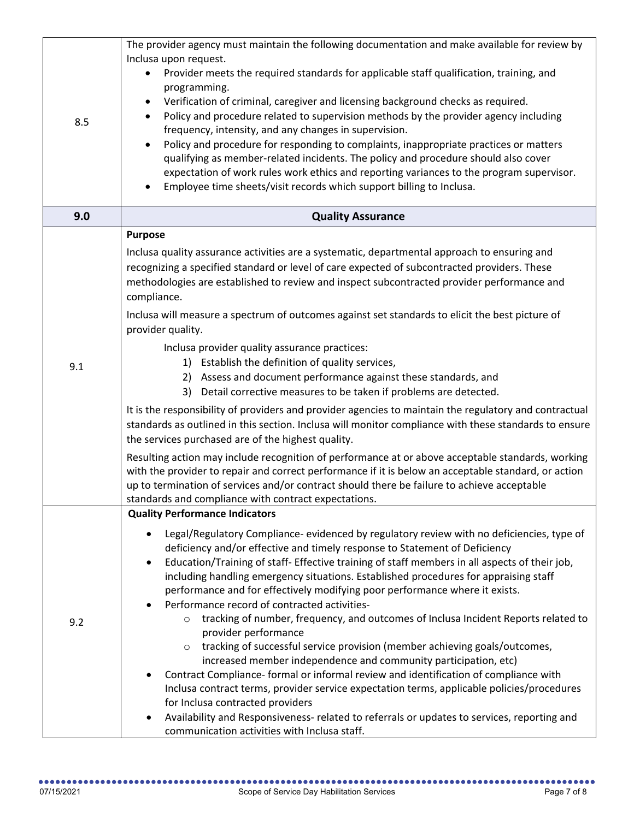| 8.5 | The provider agency must maintain the following documentation and make available for review by<br>Inclusa upon request.<br>Provider meets the required standards for applicable staff qualification, training, and<br>programming.<br>Verification of criminal, caregiver and licensing background checks as required.<br>Policy and procedure related to supervision methods by the provider agency including<br>$\bullet$<br>frequency, intensity, and any changes in supervision.<br>Policy and procedure for responding to complaints, inappropriate practices or matters                                                                                                                                                                                                                                                                                                                                                                                                                                                                                                                                                                                                                                                                                                                                                                   |
|-----|-------------------------------------------------------------------------------------------------------------------------------------------------------------------------------------------------------------------------------------------------------------------------------------------------------------------------------------------------------------------------------------------------------------------------------------------------------------------------------------------------------------------------------------------------------------------------------------------------------------------------------------------------------------------------------------------------------------------------------------------------------------------------------------------------------------------------------------------------------------------------------------------------------------------------------------------------------------------------------------------------------------------------------------------------------------------------------------------------------------------------------------------------------------------------------------------------------------------------------------------------------------------------------------------------------------------------------------------------|
|     | qualifying as member-related incidents. The policy and procedure should also cover<br>expectation of work rules work ethics and reporting variances to the program supervisor.<br>Employee time sheets/visit records which support billing to Inclusa.<br>٠                                                                                                                                                                                                                                                                                                                                                                                                                                                                                                                                                                                                                                                                                                                                                                                                                                                                                                                                                                                                                                                                                     |
| 9.0 | <b>Quality Assurance</b>                                                                                                                                                                                                                                                                                                                                                                                                                                                                                                                                                                                                                                                                                                                                                                                                                                                                                                                                                                                                                                                                                                                                                                                                                                                                                                                        |
| 9.1 | <b>Purpose</b><br>Inclusa quality assurance activities are a systematic, departmental approach to ensuring and<br>recognizing a specified standard or level of care expected of subcontracted providers. These<br>methodologies are established to review and inspect subcontracted provider performance and<br>compliance.<br>Inclusa will measure a spectrum of outcomes against set standards to elicit the best picture of<br>provider quality.<br>Inclusa provider quality assurance practices:<br>1) Establish the definition of quality services,<br>2) Assess and document performance against these standards, and<br>3) Detail corrective measures to be taken if problems are detected.<br>It is the responsibility of providers and provider agencies to maintain the regulatory and contractual<br>standards as outlined in this section. Inclusa will monitor compliance with these standards to ensure<br>the services purchased are of the highest quality.<br>Resulting action may include recognition of performance at or above acceptable standards, working<br>with the provider to repair and correct performance if it is below an acceptable standard, or action<br>up to termination of services and/or contract should there be failure to achieve acceptable<br>standards and compliance with contract expectations. |
|     | <b>Quality Performance Indicators</b>                                                                                                                                                                                                                                                                                                                                                                                                                                                                                                                                                                                                                                                                                                                                                                                                                                                                                                                                                                                                                                                                                                                                                                                                                                                                                                           |
| 9.2 | Legal/Regulatory Compliance- evidenced by regulatory review with no deficiencies, type of<br>deficiency and/or effective and timely response to Statement of Deficiency<br>Education/Training of staff- Effective training of staff members in all aspects of their job,<br>including handling emergency situations. Established procedures for appraising staff<br>performance and for effectively modifying poor performance where it exists.<br>Performance record of contracted activities-<br>tracking of number, frequency, and outcomes of Inclusa Incident Reports related to<br>$\circ$<br>provider performance<br>tracking of successful service provision (member achieving goals/outcomes,<br>$\circ$<br>increased member independence and community participation, etc)<br>Contract Compliance- formal or informal review and identification of compliance with<br>Inclusa contract terms, provider service expectation terms, applicable policies/procedures<br>for Inclusa contracted providers<br>Availability and Responsiveness- related to referrals or updates to services, reporting and<br>communication activities with Inclusa staff.                                                                                                                                                                                   |